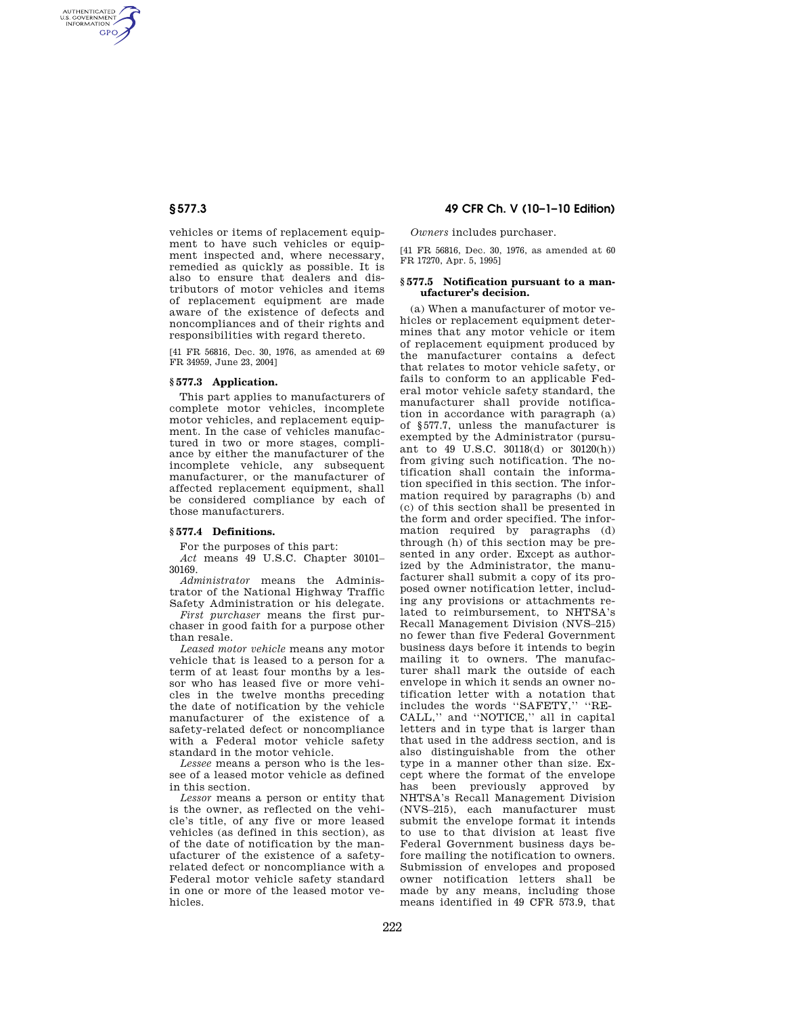AUTHENTICATED<br>U.S. GOVERNMENT<br>INFORMATION **GPO** 

> vehicles or items of replacement equipment to have such vehicles or equipment inspected and, where necessary, remedied as quickly as possible. It is also to ensure that dealers and distributors of motor vehicles and items of replacement equipment are made aware of the existence of defects and noncompliances and of their rights and responsibilities with regard thereto.

> [41 FR 56816, Dec. 30, 1976, as amended at 69 FR 34959, June 23, 2004]

## **§ 577.3 Application.**

This part applies to manufacturers of complete motor vehicles, incomplete motor vehicles, and replacement equipment. In the case of vehicles manufactured in two or more stages, compliance by either the manufacturer of the incomplete vehicle, any subsequent manufacturer, or the manufacturer of affected replacement equipment, shall be considered compliance by each of those manufacturers.

## **§ 577.4 Definitions.**

For the purposes of this part:

*Act* means 49 U.S.C. Chapter 30101– 30169.

*Administrator* means the Administrator of the National Highway Traffic Safety Administration or his delegate.

*First purchaser* means the first purchaser in good faith for a purpose other than resale.

*Leased motor vehicle* means any motor vehicle that is leased to a person for a term of at least four months by a lessor who has leased five or more vehicles in the twelve months preceding the date of notification by the vehicle manufacturer of the existence of a safety-related defect or noncompliance with a Federal motor vehicle safety standard in the motor vehicle.

*Lessee* means a person who is the lessee of a leased motor vehicle as defined in this section.

*Lessor* means a person or entity that is the owner, as reflected on the vehicle's title, of any five or more leased vehicles (as defined in this section), as of the date of notification by the manufacturer of the existence of a safetyrelated defect or noncompliance with a Federal motor vehicle safety standard in one or more of the leased motor vehicles.

# **§ 577.3 49 CFR Ch. V (10–1–10 Edition)**

*Owners* includes purchaser.

[41 FR 56816, Dec. 30, 1976, as amended at 60 FR 17270, Apr. 5, 1995]

### **§ 577.5 Notification pursuant to a manufacturer's decision.**

(a) When a manufacturer of motor vehicles or replacement equipment determines that any motor vehicle or item of replacement equipment produced by the manufacturer contains a defect that relates to motor vehicle safety, or fails to conform to an applicable Federal motor vehicle safety standard, the manufacturer shall provide notification in accordance with paragraph (a) of §577.7, unless the manufacturer is exempted by the Administrator (pursuant to 49 U.S.C. 30118(d) or 30120(h)) from giving such notification. The notification shall contain the information specified in this section. The information required by paragraphs (b) and (c) of this section shall be presented in the form and order specified. The information required by paragraphs (d) through (h) of this section may be presented in any order. Except as authorized by the Administrator, the manufacturer shall submit a copy of its proposed owner notification letter, including any provisions or attachments related to reimbursement, to NHTSA's Recall Management Division (NVS–215) no fewer than five Federal Government business days before it intends to begin mailing it to owners. The manufacturer shall mark the outside of each envelope in which it sends an owner notification letter with a notation that includes the words ''SAFETY,'' ''RE-CALL,'' and ''NOTICE,'' all in capital letters and in type that is larger than that used in the address section, and is also distinguishable from the other type in a manner other than size. Except where the format of the envelope has been previously approved by NHTSA's Recall Management Division (NVS–215), each manufacturer must submit the envelope format it intends to use to that division at least five Federal Government business days before mailing the notification to owners. Submission of envelopes and proposed owner notification letters shall be made by any means, including those means identified in 49 CFR 573.9, that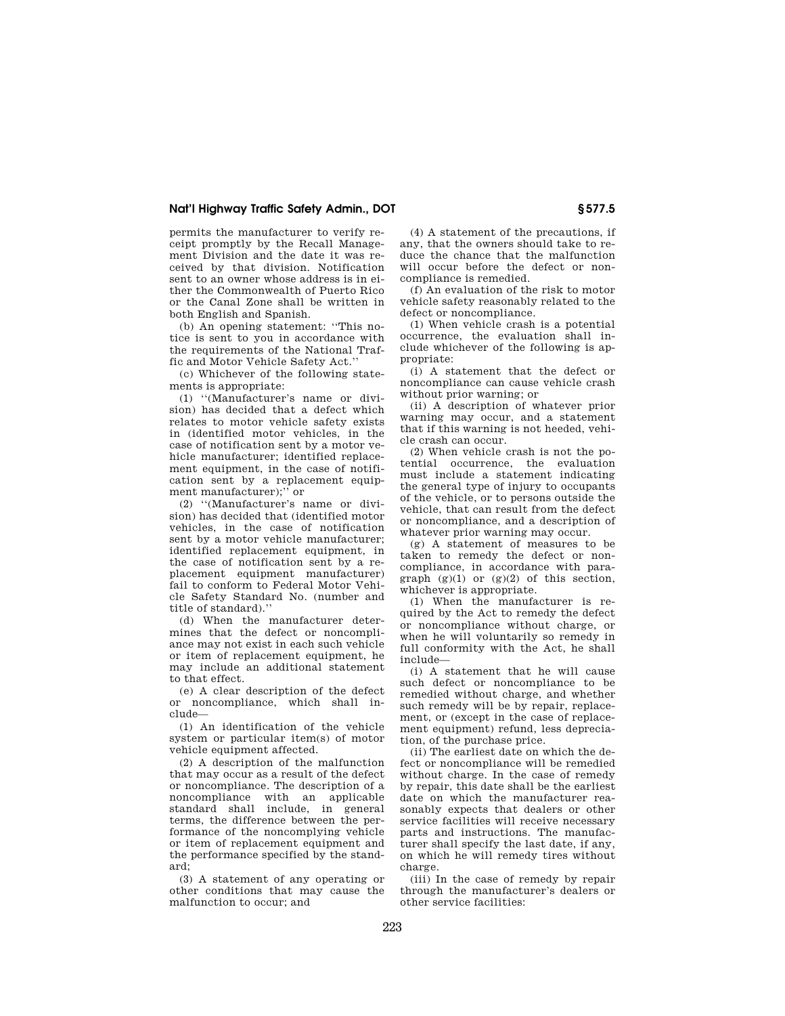# **Nat'l Highway Traffic Safety Admin., DOT § 577.5**

permits the manufacturer to verify receipt promptly by the Recall Management Division and the date it was received by that division. Notification sent to an owner whose address is in either the Commonwealth of Puerto Rico or the Canal Zone shall be written in both English and Spanish.

(b) An opening statement: ''This notice is sent to you in accordance with the requirements of the National Traffic and Motor Vehicle Safety Act.''

(c) Whichever of the following statements is appropriate:

(1) ''(Manufacturer's name or division) has decided that a defect which relates to motor vehicle safety exists in (identified motor vehicles, in the case of notification sent by a motor vehicle manufacturer; identified replacement equipment, in the case of notification sent by a replacement equipment manufacturer);'' or

(2) ''(Manufacturer's name or division) has decided that (identified motor vehicles, in the case of notification sent by a motor vehicle manufacturer; identified replacement equipment, in the case of notification sent by a replacement equipment manufacturer) fail to conform to Federal Motor Vehicle Safety Standard No. (number and title of standard).''

(d) When the manufacturer determines that the defect or noncompliance may not exist in each such vehicle or item of replacement equipment, he may include an additional statement to that effect.

(e) A clear description of the defect or noncompliance, which shall include—

(1) An identification of the vehicle system or particular item(s) of motor vehicle equipment affected.

(2) A description of the malfunction that may occur as a result of the defect or noncompliance. The description of a noncompliance with an applicable standard shall include, in general terms, the difference between the performance of the noncomplying vehicle or item of replacement equipment and the performance specified by the standard;

(3) A statement of any operating or other conditions that may cause the malfunction to occur; and

(4) A statement of the precautions, if any, that the owners should take to reduce the chance that the malfunction will occur before the defect or noncompliance is remedied.

(f) An evaluation of the risk to motor vehicle safety reasonably related to the defect or noncompliance.

(1) When vehicle crash is a potential occurrence, the evaluation shall include whichever of the following is appropriate:

(i) A statement that the defect or noncompliance can cause vehicle crash without prior warning; or

(ii) A description of whatever prior warning may occur, and a statement that if this warning is not heeded, vehicle crash can occur.

(2) When vehicle crash is not the potential occurrence, the evaluation must include a statement indicating the general type of injury to occupants of the vehicle, or to persons outside the vehicle, that can result from the defect or noncompliance, and a description of whatever prior warning may occur.

(g) A statement of measures to be taken to remedy the defect or noncompliance, in accordance with paragraph  $(g)(1)$  or  $(g)(2)$  of this section, whichever is appropriate.

(1) When the manufacturer is required by the Act to remedy the defect or noncompliance without charge, or when he will voluntarily so remedy in full conformity with the Act, he shall include—

(i) A statement that he will cause such defect or noncompliance to be remedied without charge, and whether such remedy will be by repair, replacement, or (except in the case of replacement equipment) refund, less depreciation, of the purchase price.

(ii) The earliest date on which the defect or noncompliance will be remedied without charge. In the case of remedy by repair, this date shall be the earliest date on which the manufacturer reasonably expects that dealers or other service facilities will receive necessary parts and instructions. The manufacturer shall specify the last date, if any, on which he will remedy tires without charge.

(iii) In the case of remedy by repair through the manufacturer's dealers or other service facilities: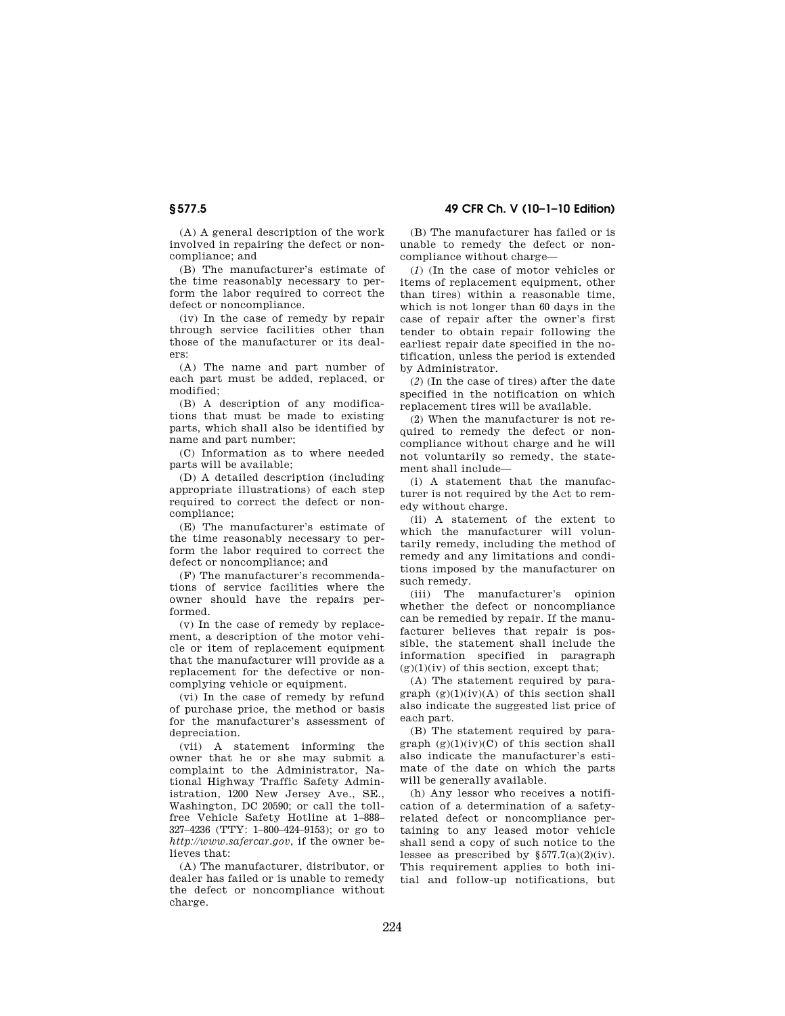(A) A general description of the work involved in repairing the defect or noncompliance; and

(B) The manufacturer's estimate of the time reasonably necessary to perform the labor required to correct the defect or noncompliance.

(iv) In the case of remedy by repair through service facilities other than those of the manufacturer or its dealers:

(A) The name and part number of each part must be added, replaced, or modified;

(B) A description of any modifications that must be made to existing parts, which shall also be identified by name and part number;

(C) Information as to where needed parts will be available;

(D) A detailed description (including appropriate illustrations) of each step required to correct the defect or noncompliance;

(E) The manufacturer's estimate of the time reasonably necessary to perform the labor required to correct the defect or noncompliance; and

(F) The manufacturer's recommendations of service facilities where the owner should have the repairs performed.

(v) In the case of remedy by replacement, a description of the motor vehicle or item of replacement equipment that the manufacturer will provide as a replacement for the defective or noncomplying vehicle or equipment.

(vi) In the case of remedy by refund of purchase price, the method or basis for the manufacturer's assessment of depreciation.

(vii) A statement informing the owner that he or she may submit a complaint to the Administrator, National Highway Traffic Safety Administration, 1200 New Jersey Ave., SE., Washington, DC 20590; or call the tollfree Vehicle Safety Hotline at 1–888– 327–4236 (TTY: 1–800–424–9153); or go to *http://www.safercar.gov*, if the owner believes that:

(A) The manufacturer, distributor, or dealer has failed or is unable to remedy the defect or noncompliance without charge.

(B) The manufacturer has failed or is unable to remedy the defect or noncompliance without charge—

(*1*) (In the case of motor vehicles or items of replacement equipment, other than tires) within a reasonable time, which is not longer than 60 days in the case of repair after the owner's first tender to obtain repair following the earliest repair date specified in the notification, unless the period is extended by Administrator.

(*2*) (In the case of tires) after the date specified in the notification on which replacement tires will be available.

(2) When the manufacturer is not required to remedy the defect or noncompliance without charge and he will not voluntarily so remedy, the statement shall include—

(i) A statement that the manufacturer is not required by the Act to remedy without charge.

(ii) A statement of the extent to which the manufacturer will voluntarily remedy, including the method of remedy and any limitations and conditions imposed by the manufacturer on such remedy.

(iii) The manufacturer's opinion whether the defect or noncompliance can be remedied by repair. If the manufacturer believes that repair is possible, the statement shall include the information specified in paragraph  $(g)(1)(iv)$  of this section, except that;

(A) The statement required by paragraph  $(g)(1)(iv)(A)$  of this section shall also indicate the suggested list price of each part.

(B) The statement required by paragraph  $(g)(1)(iv)(C)$  of this section shall also indicate the manufacturer's estimate of the date on which the parts will be generally available.

(h) Any lessor who receives a notification of a determination of a safetyrelated defect or noncompliance pertaining to any leased motor vehicle shall send a copy of such notice to the lessee as prescribed by  $$577.7(a)(2)(iv)$ . This requirement applies to both initial and follow-up notifications, but

# **§ 577.5 49 CFR Ch. V (10–1–10 Edition)**